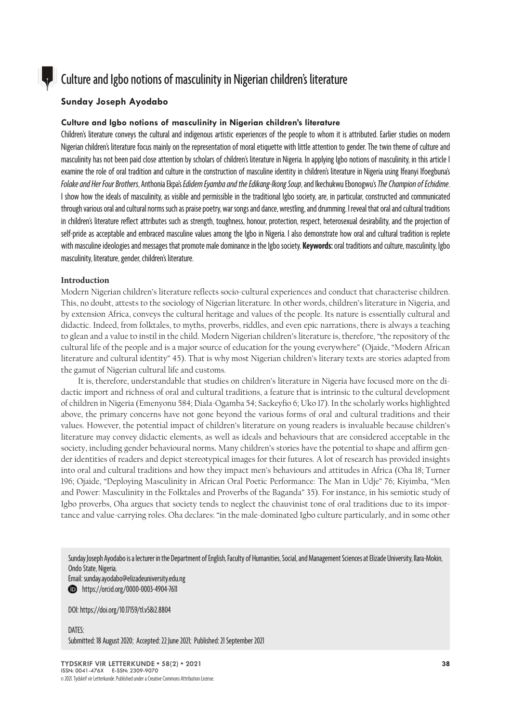

# Culture and Igbo notions of masculinity in Nigerian children's literature

## **Sunday Joseph Ayodabo**

## **Culture and Igbo notions of masculinity in Nigerian children's literature**

Children's literature conveys the cultural and indigenous artistic experiences of the people to whom it is attributed. Earlier studies on modern Nigerian children's literature focus mainly on the representation of moral etiquette with little attention to gender. The twin theme of culture and masculinity has not been paid close attention by scholars of children's literature in Nigeria. In applying Igbo notions of masculinity, in this article I examine the role of oral tradition and culture in the construction of masculine identity in children's literature in Nigeria using Ifeanyi Ifoegbuna's *Folake and Her Four Brothers*, Anthonia Ekpa's *Edidem Eyamba and the Edikang-Ikong Soup*, and Ikechukwu Ebonogwu's *The Champion of Echidime*. I show how the ideals of masculinity, as visible and permissible in the traditional Igbo society, are, in particular, constructed and communicated through various oral and cultural norms such as praise poetry, war songs and dance, wrestling, and drumming. I reveal that oral and cultural traditions in children's literature reflect attributes such as strength, toughness, honour, protection, respect, heterosexual desirability, and the projection of self-pride as acceptable and embraced masculine values among the Igbo in Nigeria. I also demonstrate how oral and cultural tradition is replete with masculine ideologies and messages that promote male dominance in the Igbo society. **Keywords:** oral traditions and culture, masculinity, Igbo masculinity, literature, gender, children's literature.

### **Introduction**

Modern Nigerian children's literature reflects socio-cultural experiences and conduct that characterise children. This, no doubt, attests to the sociology of Nigerian literature. In other words, children's literature in Nigeria, and by extension Africa, conveys the cultural heritage and values of the people. Its nature is essentially cultural and didactic. Indeed, from folktales, to myths, proverbs, riddles, and even epic narrations, there is always a teaching to glean and a value to instil in the child. Modern Nigerian children's literature is, therefore, "the repository of the cultural life of the people and is a major source of education for the young everywhere" (Ojaide, "Modern African literature and cultural identity" 45). That is why most Nigerian children's literary texts are stories adapted from the gamut of Nigerian cultural life and customs.

It is, therefore, understandable that studies on children's literature in Nigeria have focused more on the didactic import and richness of oral and cultural traditions, a feature that is intrinsic to the cultural development of children in Nigeria (Emenyonu 584; Diala-Ogamba 54; Sackeyfio 6; Uko 17). In the scholarly works highlighted above, the primary concerns have not gone beyond the various forms of oral and cultural traditions and their values. However, the potential impact of children's literature on young readers is invaluable because children's literature may convey didactic elements, as well as ideals and behaviours that are considered acceptable in the society, including gender behavioural norms**.** Many children's stories have the potential to shape and affirm gender identities of readers and depict stereotypical images for their futures. A lot of research has provided insights into oral and cultural traditions and how they impact men's behaviours and attitudes in Africa (Oha 18; Turner 196; Ojaide, "Deploying Masculinity in African Oral Poetic Performance: The Man in Udje" 76; Kiyimba, "Men and Power: Masculinity in the Folktales and Proverbs of the Baganda" 35). For instance, in his semiotic study of Igbo proverbs, Oha argues that society tends to neglect the chauvinist tone of oral traditions due to its importance and value-carrying roles. Oha declares: "in the male-dominated Igbo culture particularly, and in some other

Sunday Joseph Ayodabo is a lecturer in the Department of English, Faculty of Humanities, Social, and Management Sciences at Elizade University, Ilara-Mokin, Ondo State, Nigeria.

Email: sunday.ayodabo@elizadeuniversity.edu.ng **b** <https://orcid.org/0000-0003-4904-7611>

DOI: [https://doi.org/10.17159/tl.v58i2.8](https://doi.org/10.17159/tl.v58i2.8804)804

DATES: Submitted: 18 August 2020; Accepted: 22 June 2021; Published: 21 September 2021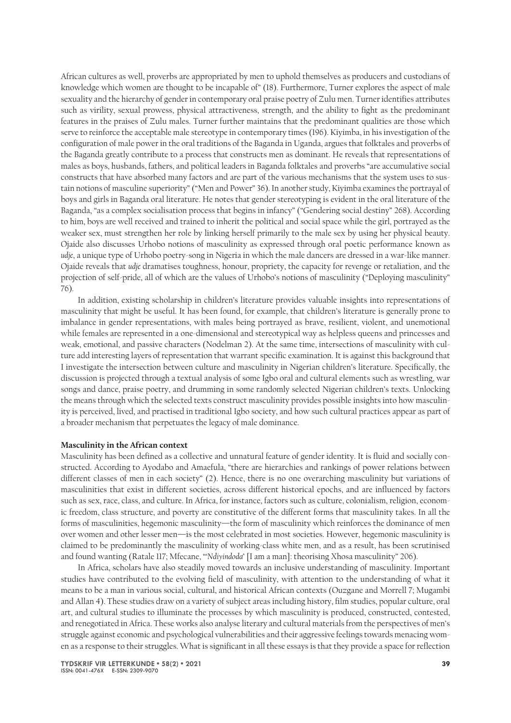African cultures as well, proverbs are appropriated by men to uphold themselves as producers and custodians of knowledge which women are thought to be incapable of" (18). Furthermore, Turner explores the aspect of male sexuality and the hierarchy of gender in contemporary oral praise poetry of Zulu men. Turner identifies attributes such as virility, sexual prowess, physical attractiveness, strength, and the ability to fight as the predominant features in the praises of Zulu males. Turner further maintains that the predominant qualities are those which serve to reinforce the acceptable male stereotype in contemporary times (196). Kiyimba, in his investigation of the configuration of male power in the oral traditions of the Baganda in Uganda, argues that folktales and proverbs of the Baganda greatly contribute to a process that constructs men as dominant. He reveals that representations of males as boys, husbands, fathers, and political leaders in Baganda folktales and proverbs "are accumulative social constructs that have absorbed many factors and are part of the various mechanisms that the system uses to sustain notions of masculine superiority" ("Men and Power" 36). In another study, Kiyimba examines the portrayal of boys and girls in Baganda oral literature. He notes that gender stereotyping is evident in the oral literature of the Baganda, "as a complex socialisation process that begins in infancy" ("Gendering social destiny" 268). According to him, boys are well received and trained to inherit the political and social space while the girl, portrayed as the weaker sex, must strengthen her role by linking herself primarily to the male sex by using her physical beauty. Ojaide also discusses Urhobo notions of masculinity as expressed through oral poetic performance known as *udje*, a unique type of Urhobo poetry-song in Nigeria in which the male dancers are dressed in a war-like manner. Ojaide reveals that *udje* dramatises toughness, honour, propriety, the capacity for revenge or retaliation, and the projection of self-pride, all of which are the values of Urhobo's notions of masculinity ("Deploying masculinity" 76).

In addition, existing scholarship in children's literature provides valuable insights into representations of masculinity that might be useful. It has been found, for example, that children's literature is generally prone to imbalance in gender representations, with males being portrayed as brave, resilient, violent, and unemotional while females are represented in a one-dimensional and stereotypical way as helpless queens and princesses and weak, emotional, and passive characters (Nodelman 2). At the same time, intersections of masculinity with culture add interesting layers of representation that warrant specific examination. It is against this background that I investigate the intersection between culture and masculinity in Nigerian children's literature. Specifically, the discussion is projected through a textual analysis of some Igbo oral and cultural elements such as wrestling, war songs and dance, praise poetry, and drumming in some randomly selected Nigerian children's texts. Unlocking the means through which the selected texts construct masculinity provides possible insights into how masculinity is perceived, lived, and practised in traditional Igbo society, and how such cultural practices appear as part of a broader mechanism that perpetuates the legacy of male dominance.

### **Masculinity in the African context**

Masculinity has been defined as a collective and unnatural feature of gender identity. It is fluid and socially constructed. According to Ayodabo and Amaefula, "there are hierarchies and rankings of power relations between different classes of men in each society" (2). Hence, there is no one overarching masculinity but variations of masculinities that exist in different societies, across different historical epochs, and are influenced by factors such as sex, race, class, and culture. In Africa, for instance, factors such as culture, colonialism, religion, economic freedom, class structure, and poverty are constitutive of the different forms that masculinity takes. In all the forms of masculinities, hegemonic masculinity—the form of masculinity which reinforces the dominance of men over women and other lesser men—is the most celebrated in most societies. However, hegemonic masculinity is claimed to be predominantly the masculinity of working-class white men, and as a result, has been scrutinised and found wanting (Ratale 117; Mfecane, "'*Ndiyindoda*' [I am a man]: theorising Xhosa masculinity" 206).

In Africa, scholars have also steadily moved towards an inclusive understanding of masculinity. Important studies have contributed to the evolving field of masculinity, with attention to the understanding of what it means to be a man in various social, cultural, and historical African contexts (Ouzgane and Morrell 7; Mugambi and Allan 4). These studies draw on a variety of subject areas including history, film studies, popular culture, oral art, and cultural studies to illuminate the processes by which masculinity is produced, constructed, contested, and renegotiated in Africa. These works also analyse literary and cultural materials from the perspectives of men's struggle against economic and psychological vulnerabilities and their aggressive feelings towards menacing women as a response to their struggles. What is significant in all these essays is that they provide a space for reflection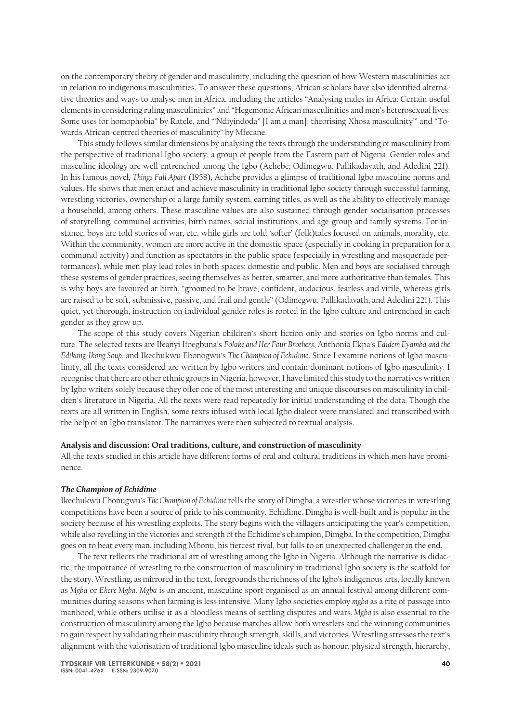on the contemporary theory of gender and masculinity, including the question of how Western masculinities act in relation to indigenous masculinities. To answer these questions, African scholars have also identified alternative theories and ways to analyse men in Africa, including the articles "Analysing males in Africa: Certain useful elements in considering ruling masculinities" and "Hegemonic African masculinities and men's heterosexual lives: Some uses for homophobia" by Ratele, and "'Ndiyindoda" [I am a man]: theorising Xhosa masculinity'" and "Towards African-centred theories of masculinity" by Mfecane.

This study follows similar dimensions by analysing the texts through the understanding of masculinity from the perspective of traditional Igbo society, a group of people from the Eastern part of Nigeria. Gender roles and masculine ideology are well entrenched among the Igbo (Achebe; Odimegwu, Pallikadavath, and Adedini 221). In his famous novel, *Things Fall Apart* (1958), Achebe provides a glimpse of traditional Igbo masculine norms and values. He shows that men enact and achieve masculinity in traditional Igbo society through successful farming, wrestling victories, ownership of a large family system, earning titles, as well as the ability to effectively manage a household, among others. These masculine values are also sustained through gender socialisation processes of storytelling, communal activities, birth names, social institutions, and age-group and family systems. For instance, boys are told stories of war, etc. while girls are told 'softer' (folk)tales focused on animals, morality, etc. Within the community, women are more active in the domestic space (especially in cooking in preparation for a communal activity) and function as spectators in the public space (especially in wrestling and masquerade performances), while men play lead roles in both spaces: domestic and public. Men and boys are socialised through these systems of gender practices, seeing themselves as better, smarter, and more authoritative than females. This is why boys are favoured at birth, "groomed to be brave, confident, audacious, fearless and virile, whereas girls are raised to be soft, submissive, passive, and frail and gentle" (Odimegwu, Pallikadavath, and Adedini 221). This quiet, yet thorough, instruction on individual gender roles is rooted in the Igbo culture and entrenched in each gender as they grow up.

The scope of this study covers Nigerian children's short fiction only and stories on Igbo norms and culture. The selected texts are Ifeanyi Ifoegbuna's *Folake and Her Four Brothers*, Anthonia Ekpa's *Edidem Eyamba and the Edikang-Ikong Soup*, and Ikechukwu Ebonogwu's *The Champion of Echidime*. Since I examine notions of Igbo masculinity, all the texts considered are written by Igbo writers and contain dominant notions of Igbo masculinity. I recognise that there are other ethnic groups in Nigeria, however, I have limited this study to the narratives written by Igbo writers solely because they offer one of the most interesting and unique discourses on masculinity in children's literature in Nigeria. All the texts were read repeatedly for initial understanding of the data. Though the texts are all written in English, some texts infused with local Igbo dialect were translated and transcribed with the help of an Igbo translator. The narratives were then subjected to textual analysis.

#### **Analysis and discussion: Oral traditions, culture, and construction of masculinity**

All the texts studied in this article have different forms of oral and cultural traditions in which men have prominence.

#### *The Champion of Echidime*

Ikechukwu Ebonugwu's *The Champion of Echidime* tells the story of Dimgba, a wrestler whose victories in wrestling competitions have been a source of pride to his community, Echidime. Dimgba is well-built and is popular in the society because of his wrestling exploits. The story begins with the villagers anticipating the year's competition, while also revelling in the victories and strength of the Echidime's champion, Dimgba. In the competition, Dimgba goes on to beat every man, including Mbonu, his fiercest rival, but falls to an unexpected challenger in the end.

The text reflects the traditional art of wrestling among the Igbo in Nigeria. Although the narrative is didactic, the importance of wrestling to the construction of masculinity in traditional Igbo society is the scaffold for the story. Wrestling, as mirrored in the text, foregrounds the richness of the Igbo's indigenous arts, locally known as *Mgba* or *Ekere Mgba*. *Mgba* is an ancient, masculine sport organised as an annual festival among different communities during seasons when farming is less intensive. Many Igbo societies employ *mgba* as a rite of passage into manhood, while others utilise it as a bloodless means of settling disputes and wars. *Mgba* is also essential to the construction of masculinity among the Igbo because matches allow both wrestlers and the winning communities to gain respect by validating their masculinity through strength, skills, and victories. Wrestling stresses the text's alignment with the valorisation of traditional Igbo masculine ideals such as honour, physical strength, hierarchy,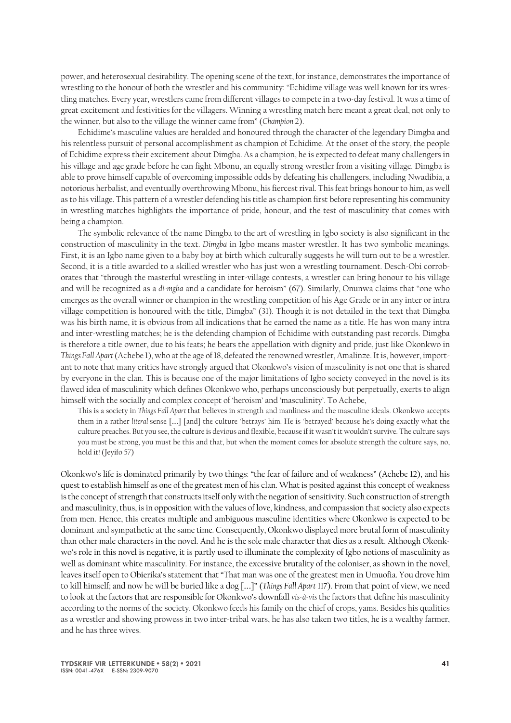power, and heterosexual desirability. The opening scene of the text, for instance, demonstrates the importance of wrestling to the honour of both the wrestler and his community: "Echidime village was well known for its wrestling matches. Every year, wrestlers came from different villages to compete in a two-day festival. It was a time of great excitement and festivities for the villagers. Winning a wrestling match here meant a great deal, not only to the winner, but also to the village the winner came from" (*Champion* 2).

Echidime's masculine values are heralded and honoured through the character of the legendary Dimgba and his relentless pursuit of personal accomplishment as champion of Echidime. At the onset of the story, the people of Echidime express their excitement about Dimgba. As a champion, he is expected to defeat many challengers in his village and age grade before he can fight Mbonu, an equally strong wrestler from a visiting village. Dimgba is able to prove himself capable of overcoming impossible odds by defeating his challengers, including Nwadibia, a notorious herbalist, and eventually overthrowing Mbonu, his fiercest rival. This feat brings honour to him, as well as to his village. This pattern of a wrestler defending his title as champion first before representing his community in wrestling matches highlights the importance of pride, honour, and the test of masculinity that comes with being a champion.

The symbolic relevance of the name Dimgba to the art of wrestling in Igbo society is also significant in the construction of masculinity in the text. *Dimgba* in Igbo means master wrestler. It has two symbolic meanings. First, it is an Igbo name given to a baby boy at birth which culturally suggests he will turn out to be a wrestler. Second, it is a title awarded to a skilled wrestler who has just won a wrestling tournament. Desch-Obi corroborates that "through the masterful wrestling in inter-village contests, a wrestler can bring honour to his village and will be recognized as a *di-mgba* and a candidate for heroism" (67). Similarly, Onunwa claims that "one who emerges as the overall winner or champion in the wrestling competition of his Age Grade or in any inter or intra village competition is honoured with the title, Dimgba" (31). Though it is not detailed in the text that Dimgba was his birth name, it is obvious from all indications that he earned the name as a title. He has won many intra and inter-wrestling matches; he is the defending champion of Echidime with outstanding past records. Dimgba is therefore a title owner, due to his feats; he bears the appellation with dignity and pride, just like Okonkwo in *Things Fall Apart* (Achebe 1), who at the age of 18, defeated the renowned wrestler, Amalinze. It is, however, important to note that many critics have strongly argued that Okonkwo's vision of masculinity is not one that is shared by everyone in the clan. This is because one of the major limitations of Igbo society conveyed in the novel is its flawed idea of masculinity which defines Okonkwo who, perhaps unconsciously but perpetually, exerts to align himself with the socially and complex concept of 'heroism' and 'masculinity'. To Achebe,

This is a society in *Things Fall Apart* that believes in strength and manliness and the masculine ideals. Okonkwo accepts them in a rather *literal* sense […] [and] the culture 'betrays' him. He is 'betrayed' because he's doing exactly what the culture preaches. But you see, the culture is devious and flexible, because if it wasn't it wouldn't survive. The culture says you must be strong, you must be this and that, but when the moment comes for absolute strength the culture says, no, hold it! (Jeyifo 57)

Okonkwo's life is dominated primarily by two things: "the fear of failure and of weakness" (Achebe 12), and his quest to establish himself as one of the greatest men of his clan. What is posited against this concept of weakness is the concept of strength that constructs itself only with the negation of sensitivity. Such construction of strength and masculinity, thus, is in opposition with the values of love, kindness, and compassion that society also expects from men. Hence, this creates multiple and ambiguous masculine identities where Okonkwo is expected to be dominant and sympathetic at the same time. Consequently, Okonkwo displayed more brutal form of masculinity than other male characters in the novel. And he is the sole male character that dies as a result. Although Okonkwo's role in this novel is negative, it is partly used to illuminate the complexity of Igbo notions of masculinity as well as dominant white masculinity. For instance, the excessive brutality of the coloniser, as shown in the novel, leaves itself open to Obierika's statement that "That man was one of the greatest men in Umuofia. You drove him to kill himself; and now he will be buried like a dog […]" (*Things Fall Apart* 117). From that point of view, we need to look at the factors that are responsible for Okonkwo's downfall *vis-à-vis* the factors that define his masculinity according to the norms of the society. Okonkwo feeds his family on the chief of crops, yams. Besides his qualities as a wrestler and showing prowess in two inter-tribal wars, he has also taken two titles, he is a wealthy farmer, and he has three wives.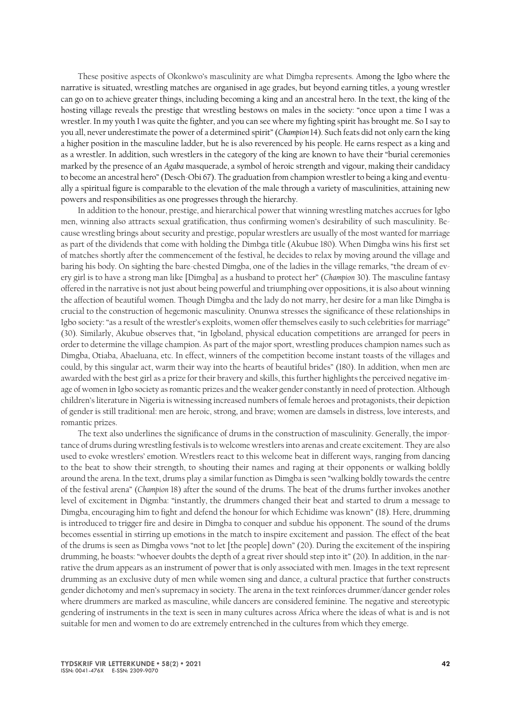These positive aspects of Okonkwo's masculinity are what Dimgba represents. Among the Igbo where the narrative is situated, wrestling matches are organised in age grades, but beyond earning titles, a young wrestler can go on to achieve greater things, including becoming a king and an ancestral hero. In the text, the king of the hosting village reveals the prestige that wrestling bestows on males in the society: "once upon a time I was a wrestler. In my youth I was quite the fighter, and you can see where my fighting spirit has brought me. So I say to you all, never underestimate the power of a determined spirit" (*Champion* 14). Such feats did not only earn the king a higher position in the masculine ladder, but he is also reverenced by his people. He earns respect as a king and as a wrestler. In addition, such wrestlers in the category of the king are known to have their "burial ceremonies marked by the presence of an *Agaba* masquerade, a symbol of heroic strength and vigour, making their candidacy to become an ancestral hero" (Desch-Obi 67). The graduation from champion wrestler to being a king and eventually a spiritual figure is comparable to the elevation of the male through a variety of masculinities, attaining new powers and responsibilities as one progresses through the hierarchy.

In addition to the honour, prestige, and hierarchical power that winning wrestling matches accrues for Igbo men, winning also attracts sexual gratification, thus confirming women's desirability of such masculinity. Because wrestling brings about security and prestige, popular wrestlers are usually of the most wanted for marriage as part of the dividends that come with holding the Dimbga title (Akubue 180). When Dimgba wins his first set of matches shortly after the commencement of the festival, he decides to relax by moving around the village and baring his body. On sighting the bare-chested Dimgba, one of the ladies in the village remarks, "the dream of every girl is to have a strong man like [Dimgba] as a husband to protect her" (*Champion* 30). The masculine fantasy offered in the narrative is not just about being powerful and triumphing over oppositions, it is also about winning the affection of beautiful women. Though Dimgba and the lady do not marry, her desire for a man like Dimgba is crucial to the construction of hegemonic masculinity. Onunwa stresses the significance of these relationships in Igbo society: "as a result of the wrestler's exploits, women offer themselves easily to such celebrities for marriage" (30). Similarly, Akubue observes that, "in Igboland, physical education competitions are arranged for peers in order to determine the village champion. As part of the major sport, wrestling produces champion names such as Dimgba, Otiaba, Abaeluana, etc. In effect, winners of the competition become instant toasts of the villages and could, by this singular act, warm their way into the hearts of beautiful brides" (180). In addition, when men are awarded with the best girl as a prize for their bravery and skills, this further highlights the perceived negative image of women in Igbo society as romantic prizes and the weaker gender constantly in need of protection. Although children's literature in Nigeria is witnessing increased numbers of female heroes and protagonists, their depiction of gender is still traditional: men are heroic, strong, and brave; women are damsels in distress, love interests, and romantic prizes.

The text also underlines the significance of drums in the construction of masculinity. Generally, the importance of drums during wrestling festivals is to welcome wrestlers into arenas and create excitement. They are also used to evoke wrestlers' emotion. Wrestlers react to this welcome beat in different ways, ranging from dancing to the beat to show their strength, to shouting their names and raging at their opponents or walking boldly around the arena. In the text, drums play a similar function as Dimgba is seen "walking boldly towards the centre of the festival arena" (*Champion* 18) after the sound of the drums. The beat of the drums further invokes another level of excitement in Digmba: "instantly, the drummers changed their beat and started to drum a message to Dimgba, encouraging him to fight and defend the honour for which Echidime was known" (18). Here, drumming is introduced to trigger fire and desire in Dimgba to conquer and subdue his opponent. The sound of the drums becomes essential in stirring up emotions in the match to inspire excitement and passion. The effect of the beat of the drums is seen as Dimgba vows "not to let [the people] down" (20). During the excitement of the inspiring drumming, he boasts: "whoever doubts the depth of a great river should step into it" (20). In addition, in the narrative the drum appears as an instrument of power that is only associated with men. Images in the text represent drumming as an exclusive duty of men while women sing and dance, a cultural practice that further constructs gender dichotomy and men's supremacy in society. The arena in the text reinforces drummer/dancer gender roles where drummers are marked as masculine, while dancers are considered feminine. The negative and stereotypic gendering of instruments in the text is seen in many cultures across Africa where the ideas of what is and is not suitable for men and women to do are extremely entrenched in the cultures from which they emerge.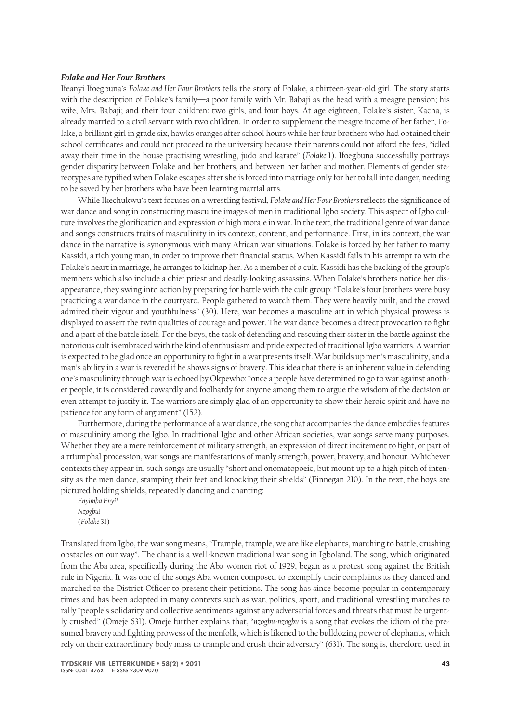#### *Folake and Her Four Brothers*

Ifeanyi Ifoegbuna's *Folake and Her Four Brothers* tells the story of Folake, a thirteen-year-old girl. The story starts with the description of Folake's family—a poor family with Mr. Babaji as the head with a meagre pension; his wife, Mrs. Babaji; and their four children: two girls, and four boys. At age eighteen, Folake's sister, Kacha, is already married to a civil servant with two children. In order to supplement the meagre income of her father, Folake, a brilliant girl in grade six, hawks oranges after school hours while her four brothers who had obtained their school certificates and could not proceed to the university because their parents could not afford the fees, "idled away their time in the house practising wrestling, judo and karate" (*Folake* 1). Ifoegbuna successfully portrays gender disparity between Folake and her brothers, and between her father and mother. Elements of gender stereotypes are typified when Folake escapes after she is forced into marriage only for her to fall into danger, needing to be saved by her brothers who have been learning martial arts.

While Ikechukwu's text focuses on a wrestling festival, *Folake and Her Four Brothers* reflects the significance of war dance and song in constructing masculine images of men in traditional Igbo society. This aspect of Igbo culture involves the glorification and expression of high morale in war. In the text, the traditional genre of war dance and songs constructs traits of masculinity in its context, content, and performance. First, in its context, the war dance in the narrative is synonymous with many African war situations. Folake is forced by her father to marry Kassidi, a rich young man, in order to improve their financial status. When Kassidi fails in his attempt to win the Folake's heart in marriage, he arranges to kidnap her. As a member of a cult, Kassidi has the backing of the group's members which also include a chief priest and deadly-looking assassins. When Folake's brothers notice her disappearance, they swing into action by preparing for battle with the cult group: "Folake's four brothers were busy practicing a war dance in the courtyard. People gathered to watch them. They were heavily built, and the crowd admired their vigour and youthfulness" (30). Here, war becomes a masculine art in which physical prowess is displayed to assert the twin qualities of courage and power. The war dance becomes a direct provocation to fight and a part of the battle itself. For the boys, the task of defending and rescuing their sister in the battle against the notorious cult is embraced with the kind of enthusiasm and pride expected of traditional Igbo warriors. A warrior is expected to be glad once an opportunity to fight in a war presents itself. War builds up men's masculinity, and a man's ability in a war is revered if he shows signs of bravery. This idea that there is an inherent value in defending one's masculinity through war is echoed by Okpewho: "once a people have determined to go to war against another people, it is considered cowardly and foolhardy for anyone among them to argue the wisdom of the decision or even attempt to justify it. The warriors are simply glad of an opportunity to show their heroic spirit and have no patience for any form of argument" (152).

Furthermore, during the performance of a war dance, the song that accompanies the dance embodies features of masculinity among the Igbo. In traditional Igbo and other African societies, war songs serve many purposes. Whether they are a mere reinforcement of military strength, an expression of direct incitement to fight, or part of a triumphal procession, war songs are manifestations of manly strength, power, bravery, and honour. Whichever contexts they appear in, such songs are usually "short and onomatopoeic, but mount up to a high pitch of intensity as the men dance, stamping their feet and knocking their shields" (Finnegan 210). In the text, the boys are pictured holding shields, repeatedly dancing and chanting:

*Enyimba Enyi! Nzogbu!* (*Folake* 31)

Translated from Igbo, the war song means, "Trample, trample, we are like elephants, marching to battle, crushing obstacles on our way". The chant is a well-known traditional war song in Igboland. The song, which originated from the Aba area, specifically during the Aba women riot of 1929, began as a protest song against the British rule in Nigeria. It was one of the songs Aba women composed to exemplify their complaints as they danced and marched to the District Officer to present their petitions. The song has since become popular in contemporary times and has been adopted in many contexts such as war, politics, sport, and traditional wrestling matches to rally "people's solidarity and collective sentiments against any adversarial forces and threats that must be urgently crushed" (Omeje 631). Omeje further explains that, "*nzogbu-nzogbu* is a song that evokes the idiom of the presumed bravery and fighting prowess of the menfolk, which is likened to the bulldozing power of elephants, which rely on their extraordinary body mass to trample and crush their adversary" (631). The song is, therefore, used in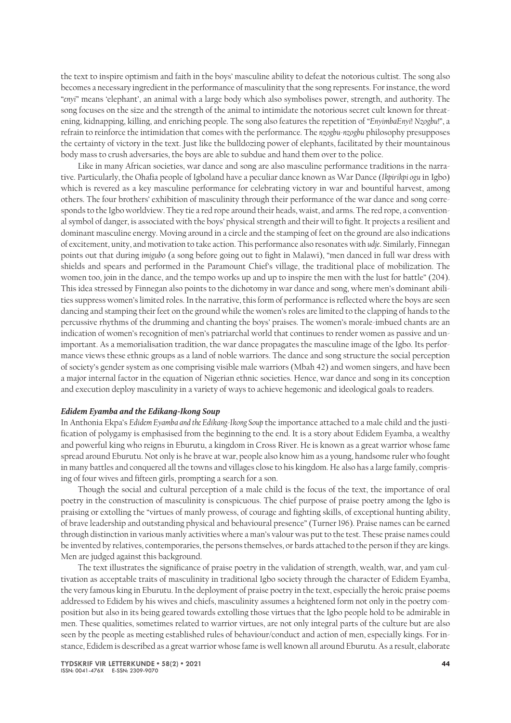the text to inspire optimism and faith in the boys' masculine ability to defeat the notorious cultist. The song also becomes a necessary ingredient in the performance of masculinity that the song represents. For instance, the word "*enyi*" means 'elephant', an animal with a large body which also symbolises power, strength, and authority. The song focuses on the size and the strength of the animal to intimidate the notorious secret cult known for threatening, kidnapping, killing, and enriching people. The song also features the repetition of "*EnyimbaEnyi*! *Nzogbu*!", a refrain to reinforce the intimidation that comes with the performance. The *nzogbu-nzogbu* philosophy presupposes the certainty of victory in the text. Just like the bulldozing power of elephants, facilitated by their mountainous body mass to crush adversaries, the boys are able to subdue and hand them over to the police.

Like in many African societies, war dance and song are also masculine performance traditions in the narrative. Particularly, the Ohafia people of Igboland have a peculiar dance known as War Dance (*Ikpirikpi ogu* in Igbo) which is revered as a key masculine performance for celebrating victory in war and bountiful harvest, among others. The four brothers' exhibition of masculinity through their performance of the war dance and song corresponds to the Igbo worldview. They tie a red rope around their heads, waist, and arms. The red rope, a conventional symbol of danger, is associated with the boys' physical strength and their will to fight. It projects a resilient and dominant masculine energy. Moving around in a circle and the stamping of feet on the ground are also indications of excitement, unity, and motivation to take action. This performance also resonates with *udje*. Similarly, Finnegan points out that during *imigubo* (a song before going out to fight in Malawi), "men danced in full war dress with shields and spears and performed in the Paramount Chief's village, the traditional place of mobilization. The women too, join in the dance, and the tempo works up and up to inspire the men with the lust for battle" (204). This idea stressed by Finnegan also points to the dichotomy in war dance and song, where men's dominant abilities suppress women's limited roles. In the narrative, this form of performance is reflected where the boys are seen dancing and stamping their feet on the ground while the women's roles are limited to the clapping of hands to the percussive rhythms of the drumming and chanting the boys' praises. The women's morale-imbued chants are an indication of women's recognition of men's patriarchal world that continues to render women as passive and unimportant. As a memorialisation tradition, the war dance propagates the masculine image of the Igbo. Its performance views these ethnic groups as a land of noble warriors. The dance and song structure the social perception of society's gender system as one comprising visible male warriors (Mbah 42) and women singers, and have been a major internal factor in the equation of Nigerian ethnic societies. Hence, war dance and song in its conception and execution deploy masculinity in a variety of ways to achieve hegemonic and ideological goals to readers.

#### *Edidem Eyamba and the Edikang-Ikong Soup*

In Anthonia Ekpa's *Edidem Eyamba and the Edikang-Ikong Soup* the importance attached to a male child and the justification of polygamy is emphasised from the beginning to the end. It is a story about Edidem Eyamba, a wealthy and powerful king who reigns in Eburutu, a kingdom in Cross River. He is known as a great warrior whose fame spread around Eburutu. Not only is he brave at war, people also know him as a young, handsome ruler who fought in many battles and conquered all the towns and villages close to his kingdom. He also has a large family, comprising of four wives and fifteen girls, prompting a search for a son.

Though the social and cultural perception of a male child is the focus of the text, the importance of oral poetry in the construction of masculinity is conspicuous. The chief purpose of praise poetry among the Igbo is praising or extolling the "virtues of manly prowess, of courage and fighting skills, of exceptional hunting ability, of brave leadership and outstanding physical and behavioural presence" (Turner 196). Praise names can be earned through distinction in various manly activities where a man's valour was put to the test. These praise names could be invented by relatives, contemporaries, the persons themselves, or bards attached to the person if they are kings. Men are judged against this background.

The text illustrates the significance of praise poetry in the validation of strength, wealth, war, and yam cultivation as acceptable traits of masculinity in traditional Igbo society through the character of Edidem Eyamba, the very famous king in Eburutu. In the deployment of praise poetry in the text, especially the heroic praise poems addressed to Edidem by his wives and chiefs, masculinity assumes a heightened form not only in the poetry composition but also in its being geared towards extolling those virtues that the Igbo people hold to be admirable in men. These qualities, sometimes related to warrior virtues, are not only integral parts of the culture but are also seen by the people as meeting established rules of behaviour/conduct and action of men, especially kings. For instance, Edidem is described as a great warrior whose fame is well known all around Eburutu. As a result, elaborate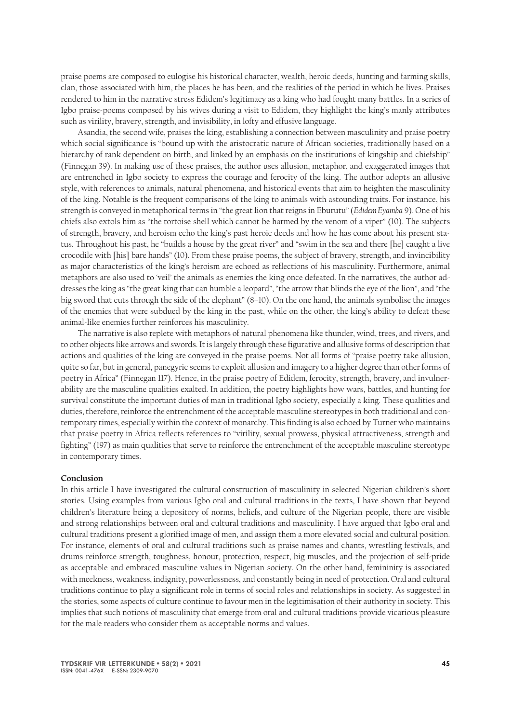praise poems are composed to eulogise his historical character, wealth, heroic deeds, hunting and farming skills, clan, those associated with him, the places he has been, and the realities of the period in which he lives. Praises rendered to him in the narrative stress Edidem's legitimacy as a king who had fought many battles. In a series of Igbo praise-poems composed by his wives during a visit to Edidem, they highlight the king's manly attributes such as virility, bravery, strength, and invisibility, in lofty and effusive language.

Asandia, the second wife, praises the king, establishing a connection between masculinity and praise poetry which social significance is "bound up with the aristocratic nature of African societies, traditionally based on a hierarchy of rank dependent on birth, and linked by an emphasis on the institutions of kingship and chiefship" (Finnegan 39). In making use of these praises, the author uses allusion, metaphor, and exaggerated images that are entrenched in Igbo society to express the courage and ferocity of the king. The author adopts an allusive style, with references to animals, natural phenomena, and historical events that aim to heighten the masculinity of the king. Notable is the frequent comparisons of the king to animals with astounding traits. For instance, his strength is conveyed in metaphorical terms in "the great lion that reigns in Eburutu" (*Edidem Eyamba* 9). One of his chiefs also extols him as "the tortoise shell which cannot be harmed by the venom of a viper" (10). The subjects of strength, bravery, and heroism echo the king's past heroic deeds and how he has come about his present status. Throughout his past, he "builds a house by the great river" and "swim in the sea and there [he] caught a live crocodile with [his] bare hands" (10). From these praise poems, the subject of bravery, strength, and invincibility as major characteristics of the king's heroism are echoed as reflections of his masculinity. Furthermore, animal metaphors are also used to 'veil' the animals as enemies the king once defeated. In the narratives, the author addresses the king as "the great king that can humble a leopard", "the arrow that blinds the eye of the lion", and "the big sword that cuts through the side of the elephant" (8–10). On the one hand, the animals symbolise the images of the enemies that were subdued by the king in the past, while on the other, the king's ability to defeat these animal-like enemies further reinforces his masculinity.

The narrative is also replete with metaphors of natural phenomena like thunder, wind, trees, and rivers, and to other objects like arrows and swords. It is largely through these figurative and allusive forms of description that actions and qualities of the king are conveyed in the praise poems. Not all forms of "praise poetry take allusion, quite so far, but in general, panegyric seems to exploit allusion and imagery to a higher degree than other forms of poetry in Africa" (Finnegan 117). Hence, in the praise poetry of Edidem, ferocity, strength, bravery, and invulnerability are the masculine qualities exalted. In addition, the poetry highlights how wars, battles, and hunting for survival constitute the important duties of man in traditional Igbo society, especially a king. These qualities and duties, therefore, reinforce the entrenchment of the acceptable masculine stereotypes in both traditional and contemporary times, especially within the context of monarchy. This finding is also echoed by Turner who maintains that praise poetry in Africa reflects references to "virility, sexual prowess, physical attractiveness, strength and fighting" (197) as main qualities that serve to reinforce the entrenchment of the acceptable masculine stereotype in contemporary times.

#### **Conclusion**

In this article I have investigated the cultural construction of masculinity in selected Nigerian children's short stories. Using examples from various Igbo oral and cultural traditions in the texts, I have shown that beyond children's literature being a depository of norms, beliefs, and culture of the Nigerian people, there are visible and strong relationships between oral and cultural traditions and masculinity. I have argued that Igbo oral and cultural traditions present a glorified image of men, and assign them a more elevated social and cultural position. For instance, elements of oral and cultural traditions such as praise names and chants, wrestling festivals, and drums reinforce strength, toughness, honour, protection, respect, big muscles, and the projection of self-pride as acceptable and embraced masculine values in Nigerian society. On the other hand, femininity is associated with meekness, weakness, indignity, powerlessness, and constantly being in need of protection. Oral and cultural traditions continue to play a significant role in terms of social roles and relationships in society. As suggested in the stories, some aspects of culture continue to favour men in the legitimisation of their authority in society. This implies that such notions of masculinity that emerge from oral and cultural traditions provide vicarious pleasure for the male readers who consider them as acceptable norms and values.